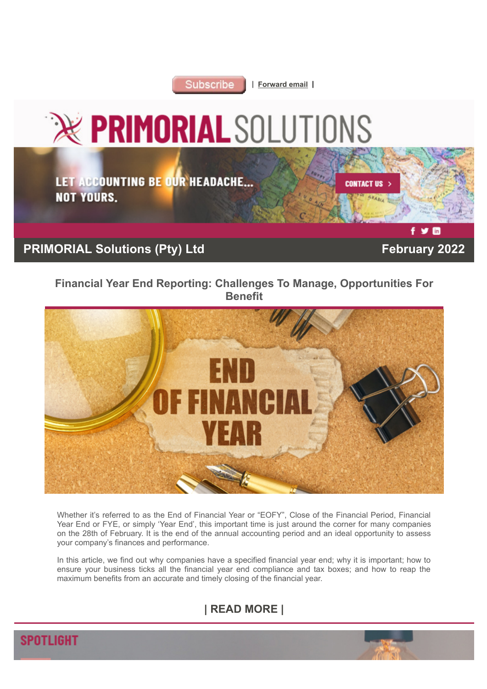

| **[Forward email](http://www.dotnews.co.za/Code/Forward.aspx?qry=yKPR5eDKNlaukY9Ps7iCg7e7CqYaOIcY1WZs2b3CHGKvJRp8Mi-osCIM-J1Nut8pz-iFBs1GhaLUqWU0EWcY72y8W2Teo4MdsWV6VchWT-z-yNYJOCmi8skVn643XTUe-NOPAD) |** 



LET ACCOUNTING BE OUR HEADACHE... **NOT YOURS.** 

**CONTACT US** 

# **PRIMORIAL Solutions (Pty) Ltd February 2022**

 $V<sub>in</sub>$ 

## **[Financial Year End Reporting: Challenges To Manage, Opportunities For](http://www.dotnews.co.za/Code/Article.aspx?qry=yKPR5eDKNlaukY9Ps7iCg6SFfPE54GBkPU9rcoT7YzI9BnLf0KeHPUEpSe1Z_nRYKB6skRPBXgjfHs7STvePXajkz3z8TfgZ-BbeNcAwoVs=-NOPAD) [Benefit](http://www.dotnews.co.za/Code/Article.aspx?qry=yKPR5eDKNlaukY9Ps7iCg6SFfPE54GBkPU9rcoT7YzI9BnLf0KeHPUEpSe1Z_nRYKB6skRPBXgjfHs7STvePXajkz3z8TfgZ-BbeNcAwoVs=-NOPAD)**



Whether it's referred to as the End of Financial Year or "EOFY", Close of the Financial Period, Financial Year End or FYE, or simply 'Year End', this important time is just around the corner for many companies on the 28th of February. It is the end of the annual accounting period and an ideal opportunity to assess your company's finances and performance.

In this article, we find out why companies have a specified financial year end; why it is important; how to ensure your business ticks all the financial year end compliance and tax boxes; and how to reap the maximum benefits from an accurate and timely closing of the financial year.

# **[| READ MORE |](http://www.dotnews.co.za/Code/Article.aspx?qry=yKPR5eDKNlaukY9Ps7iCg6SFfPE54GBkPU9rcoT7YzI9BnLf0KeHPUEpSe1Z_nRYKB6skRPBXgjfHs7STvePXajkz3z8TfgZ-BbeNcAwoVs=-NOPAD)**

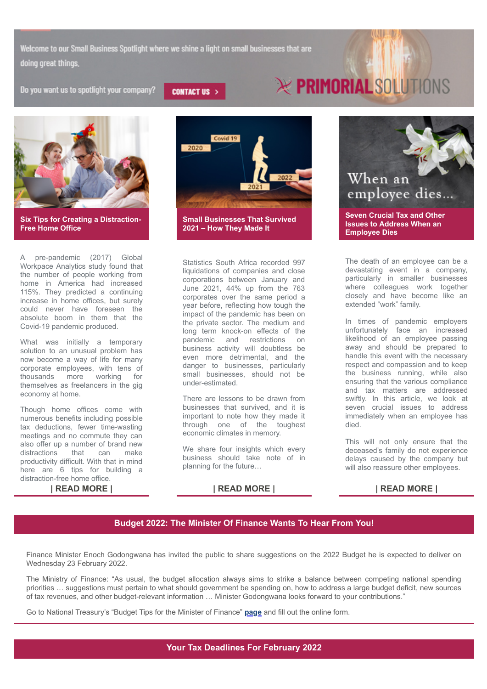Welcome to our Small Business Spotlight where we shine a light on small businesses that are doing great things.

Do you want us to spotlight your company?



**[2021 – How They Made It](http://www.dotnews.co.za/Code/Article.aspx?qry=yKPR5eDKNlaukY9Ps7iCg6SFfPE54GBkPU9rcoT7YzI9BnLf0KeHPUEpSe1Z_nRYKB6skRPBXgjfHs7STvePXZluzfZMc8ue3hoFLXrA__4=-NOPAD)**

A pre-pandemic (2017) Global Workpace Analytics study found that the number of people working from home in America had increased 115%. They predicted a continuing increase in home offices, but surely could never have foreseen the absolute boom in them that the Covid-19 pandemic produced.

**[Six Tips for Creating a Distraction-](http://www.dotnews.co.za/Code/Article.aspx?qry=yKPR5eDKNlaukY9Ps7iCg6SFfPE54GBkPU9rcoT7YzI9BnLf0KeHPUEpSe1Z_nRYKB6skRPBXgjfHs7STvePXX4vxedf6I80rixQazyXDx0=-NOPAD)**

**[Free Home Office](http://www.dotnews.co.za/Code/Article.aspx?qry=yKPR5eDKNlaukY9Ps7iCg6SFfPE54GBkPU9rcoT7YzI9BnLf0KeHPUEpSe1Z_nRYKB6skRPBXgjfHs7STvePXX4vxedf6I80rixQazyXDx0=-NOPAD)**

What was initially a temporary solution to an unusual problem has now become a way of life for many corporate employees, with tens of thousands more working for themselves as freelancers in the gig economy at home.

Though home offices come with numerous benefits including possible tax deductions, fewer time-wasting meetings and no commute they can also offer up a number of brand new distractions that can make productivity difficult. With that in mind here are 6 tips for building a distraction-free home office.



There are lessons to be drawn from businesses that survived, and it is important to note how they made it through one of the toughest economic climates in memory.

We share four insights which every business should take note of in planning for the future…



The death of an employee can be a devastating event in a company, particularly in smaller businesses where colleagues work together closely and have become like an extended "work" family.

In times of pandemic employers unfortunately face an increased likelihood of an employee passing away and should be prepared to handle this event with the necessary respect and compassion and to keep the business running, while also ensuring that the various compliance and tax matters are addressed swiftly. In this article, we look at seven crucial issues to address immediately when an employee has died.

This will not only ensure that the deceased's family do not experience delays caused by the company but will also reassure other employees.

### **[| READ MORE |](http://www.dotnews.co.za/Code/Article.aspx?qry=yKPR5eDKNlaukY9Ps7iCg6SFfPE54GBkPU9rcoT7YzI9BnLf0KeHPUEpSe1Z_nRYKB6skRPBXgjfHs7STvePXX4vxedf6I80rixQazyXDx0=-NOPAD) [| READ MORE |](http://www.dotnews.co.za/Code/Article.aspx?qry=yKPR5eDKNlaukY9Ps7iCg6SFfPE54GBkPU9rcoT7YzI9BnLf0KeHPUEpSe1Z_nRYKB6skRPBXgjfHs7STvePXZluzfZMc8ue3hoFLXrA__4=-NOPAD) [| READ MORE |](http://www.dotnews.co.za/Code/Article.aspx?qry=yKPR5eDKNlaukY9Ps7iCg6SFfPE54GBkPU9rcoT7YzI9BnLf0KeHPUEpSe1Z_nRYKB6skRPBXgjfHs7STvePXUDRGrj1OAKjHWu7boR5IQE=-NOPAD)**

### **[Budget 2022: The Minister Of Finance Wants To Hear From You!](http://www.dotnews.co.za/Code/Article.aspx?qry=yKPR5eDKNlaukY9Ps7iCg6SFfPE54GBkPU9rcoT7YzI9BnLf0KeHPUEpSe1Z_nRYKB6skRPBXgjfHs7STvePXVyKX6B5fndXv0WgzrVGoLs=-NOPAD)**

Finance Minister Enoch Godongwana has invited the public to share suggestions on the 2022 Budget he is expected to deliver on Wednesday 23 February 2022.

The Ministry of Finance: "As usual, the budget allocation always aims to strike a balance between competing national spending priorities … suggestions must pertain to what should government be spending on, how to address a large budget deficit, new sources of tax revenues, and other budget-relevant information … Minister Godongwana looks forward to your contributions."

Go to National Treasury's "Budget Tips for the Minister of Finance" **[page](https://web.treasury.gov.za/public/Tips)** and fill out the online form.

**CONTACT US >** 

# **EX PRIMORIAL SOLUTIONS**